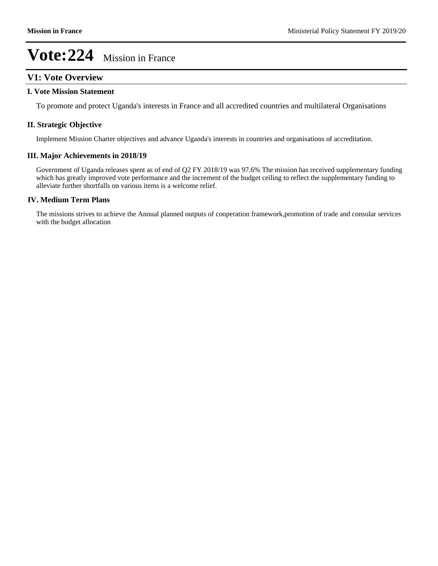## **V1: Vote Overview**

#### **I. Vote Mission Statement**

To promote and protect Uganda's interests in France and all accredited countries and multilateral Organisations

### **II. Strategic Objective**

Implement Mission Charter objectives and advance Uganda's interests in countries and organisations of accreditation.

### **III. Major Achievements in 2018/19**

Government of Uganda releases spent as of end of Q2 FY 2018/19 was 97.6% The mission has received supplementary funding which has greatly improved vote performance and the increment of the budget ceiling to reflect the supplementary funding to alleviate further shortfalls on various items is a welcome relief.

### **IV. Medium Term Plans**

The missions strives to achieve the Annual planned outputs of cooperation framework,promotion of trade and consular services with the budget allocation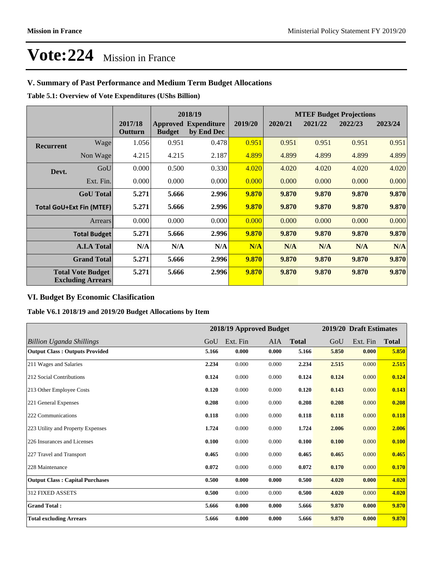## **V. Summary of Past Performance and Medium Term Budget Allocations**

**Table 5.1: Overview of Vote Expenditures (UShs Billion)**

|                                                      |                  |                    | 2018/19       |                                           |         | <b>MTEF Budget Projections</b> |         |         |         |
|------------------------------------------------------|------------------|--------------------|---------------|-------------------------------------------|---------|--------------------------------|---------|---------|---------|
|                                                      |                  | 2017/18<br>Outturn | <b>Budget</b> | <b>Approved Expenditure</b><br>by End Dec | 2019/20 | 2020/21                        | 2021/22 | 2022/23 | 2023/24 |
| <b>Recurrent</b>                                     | Wage             | 1.056              | 0.951         | 0.478                                     | 0.951   | 0.951                          | 0.951   | 0.951   | 0.951   |
|                                                      | Non Wage         | 4.215              | 4.215         | 2.187                                     | 4.899   | 4.899                          | 4.899   | 4.899   | 4.899   |
| Devt.                                                | GoU              | 0.000              | 0.500         | 0.330                                     | 4.020   | 4.020                          | 4.020   | 4.020   | 4.020   |
|                                                      | Ext. Fin.        | 0.000              | 0.000         | 0.000                                     | 0.000   | 0.000                          | 0.000   | 0.000   | 0.000   |
|                                                      | <b>GoU</b> Total | 5.271              | 5.666         | 2.996                                     | 9.870   | 9.870                          | 9.870   | 9.870   | 9.870   |
| <b>Total GoU+Ext Fin (MTEF)</b>                      |                  | 5.271              | 5.666         | 2.996                                     | 9.870   | 9.870                          | 9.870   | 9.870   | 9.870   |
|                                                      | <b>Arrears</b>   | 0.000              | 0.000         | 0.000                                     | 0.000   | 0.000                          | 0.000   | 0.000   | 0.000   |
| <b>Total Budget</b>                                  |                  | 5.271              | 5.666         | 2.996                                     | 9.870   | 9.870                          | 9.870   | 9.870   | 9.870   |
| <b>A.I.A Total</b>                                   |                  | N/A                | N/A           | N/A                                       | N/A     | N/A                            | N/A     | N/A     | N/A     |
| <b>Grand Total</b>                                   |                  | 5.271              | 5.666         | 2.996                                     | 9.870   | 9.870                          | 9.870   | 9.870   | 9.870   |
| <b>Total Vote Budget</b><br><b>Excluding Arrears</b> |                  | 5.271              | 5.666         | 2.996                                     | 9.870   | 9.870                          | 9.870   | 9.870   | 9.870   |

## **VI. Budget By Economic Clasification**

**Table V6.1 2018/19 and 2019/20 Budget Allocations by Item**

|                                        |       | 2018/19 Approved Budget |       |              |       | 2019/20 Draft Estimates |              |
|----------------------------------------|-------|-------------------------|-------|--------------|-------|-------------------------|--------------|
| <b>Billion Uganda Shillings</b>        | GoU   | Ext. Fin                | AIA   | <b>Total</b> | GoU   | Ext. Fin                | <b>Total</b> |
| <b>Output Class: Outputs Provided</b>  | 5.166 | 0.000                   | 0.000 | 5.166        | 5.850 | 0.000                   | 5.850        |
| 211 Wages and Salaries                 | 2.234 | 0.000                   | 0.000 | 2.234        | 2.515 | 0.000                   | 2.515        |
| 212 Social Contributions               | 0.124 | 0.000                   | 0.000 | 0.124        | 0.124 | 0.000                   | 0.124        |
| 213 Other Employee Costs               | 0.120 | 0.000                   | 0.000 | 0.120        | 0.143 | 0.000                   | 0.143        |
| 221 General Expenses                   | 0.208 | 0.000                   | 0.000 | 0.208        | 0.208 | 0.000                   | 0.208        |
| 222 Communications                     | 0.118 | 0.000                   | 0.000 | 0.118        | 0.118 | 0.000                   | 0.118        |
| 223 Utility and Property Expenses      | 1.724 | 0.000                   | 0.000 | 1.724        | 2.006 | 0.000                   | 2.006        |
| 226 Insurances and Licenses            | 0.100 | 0.000                   | 0.000 | 0.100        | 0.100 | 0.000                   | 0.100        |
| 227 Travel and Transport               | 0.465 | 0.000                   | 0.000 | 0.465        | 0.465 | 0.000                   | 0.465        |
| 228 Maintenance                        | 0.072 | 0.000                   | 0.000 | 0.072        | 0.170 | 0.000                   | 0.170        |
| <b>Output Class: Capital Purchases</b> | 0.500 | 0.000                   | 0.000 | 0.500        | 4.020 | 0.000                   | 4.020        |
| <b>312 FIXED ASSETS</b>                | 0.500 | 0.000                   | 0.000 | 0.500        | 4.020 | 0.000                   | 4.020        |
| <b>Grand Total:</b>                    | 5.666 | 0.000                   | 0.000 | 5.666        | 9.870 | 0.000                   | 9.870        |
| <b>Total excluding Arrears</b>         | 5.666 | 0.000                   | 0.000 | 5.666        | 9.870 | 0.000                   | 9.870        |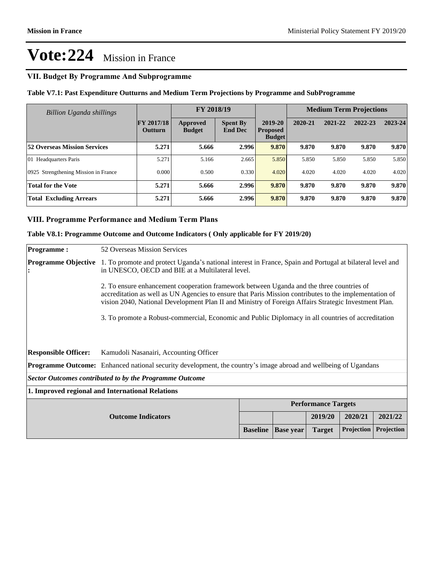## **VII. Budget By Programme And Subprogramme**

**Table V7.1: Past Expenditure Outturns and Medium Term Projections by Programme and SubProgramme**

| <b>Billion Uganda shillings</b>      |                                     | FY 2018/19                |                                   |                                             |         | <b>Medium Term Projections</b> |         |         |
|--------------------------------------|-------------------------------------|---------------------------|-----------------------------------|---------------------------------------------|---------|--------------------------------|---------|---------|
|                                      | <b>FY 2017/18</b><br><b>Outturn</b> | Approved<br><b>Budget</b> | <b>Spent By</b><br><b>End Dec</b> | 2019-20<br><b>Proposed</b><br><b>Budget</b> | 2020-21 | 2021-22                        | 2022-23 | 2023-24 |
| <b>52 Overseas Mission Services</b>  | 5.271                               | 5.666                     | 2.996                             | 9.870                                       | 9.870   | 9.870                          | 9.870   | 9.870   |
| 01 Headquarters Paris                | 5.271                               | 5.166                     | 2.665                             | 5.850                                       | 5.850   | 5.850                          | 5.850   | 5.850   |
| 0925 Strengthening Mission in France | 0.000                               | 0.500                     | 0.330                             | 4.020                                       | 4.020   | 4.020                          | 4.020   | 4.020   |
| <b>Total for the Vote</b>            | 5.271                               | 5.666                     | 2.996                             | 9.870                                       | 9.870   | 9.870                          | 9.870   | 9.870   |
| <b>Total Excluding Arrears</b>       | 5.271                               | 5.666                     | 2.996                             | 9.870                                       | 9.870   | 9.870                          | 9.870   | 9.870   |

### **VIII. Programme Performance and Medium Term Plans**

**Table V8.1: Programme Outcome and Outcome Indicators ( Only applicable for FY 2019/20)**

| <b>Programme:</b>                                | 52 Overseas Mission Services                                                                                                                                                                                                                                                                               |                                                                                                    |                            |               |            |            |
|--------------------------------------------------|------------------------------------------------------------------------------------------------------------------------------------------------------------------------------------------------------------------------------------------------------------------------------------------------------------|----------------------------------------------------------------------------------------------------|----------------------------|---------------|------------|------------|
| <b>Programme Objective</b>                       | 1. To promote and protect Uganda's national interest in France, Spain and Portugal at bilateral level and<br>in UNESCO, OECD and BIE at a Multilateral level.                                                                                                                                              |                                                                                                    |                            |               |            |            |
|                                                  | 2. To ensure enhancement cooperation framework between Uganda and the three countries of<br>accreditation as well as UN Agencies to ensure that Paris Mission contributes to the implementation of<br>vision 2040, National Development Plan II and Ministry of Foreign Affairs Strategic Investment Plan. |                                                                                                    |                            |               |            |            |
|                                                  |                                                                                                                                                                                                                                                                                                            | 3. To promote a Robust-commercial, Economic and Public Diplomacy in all countries of accreditation |                            |               |            |            |
|                                                  |                                                                                                                                                                                                                                                                                                            |                                                                                                    |                            |               |            |            |
|                                                  |                                                                                                                                                                                                                                                                                                            |                                                                                                    |                            |               |            |            |
| <b>Responsible Officer:</b>                      | Kamudoli Nasanairi, Accounting Officer                                                                                                                                                                                                                                                                     |                                                                                                    |                            |               |            |            |
|                                                  | <b>Programme Outcome:</b> Enhanced national security development, the country's image abroad and wellbeing of Ugandans                                                                                                                                                                                     |                                                                                                    |                            |               |            |            |
|                                                  | Sector Outcomes contributed to by the Programme Outcome                                                                                                                                                                                                                                                    |                                                                                                    |                            |               |            |            |
| 1. Improved regional and International Relations |                                                                                                                                                                                                                                                                                                            |                                                                                                    |                            |               |            |            |
|                                                  |                                                                                                                                                                                                                                                                                                            |                                                                                                    | <b>Performance Targets</b> |               |            |            |
| <b>Outcome Indicators</b>                        |                                                                                                                                                                                                                                                                                                            |                                                                                                    |                            | 2019/20       | 2020/21    | 2021/22    |
|                                                  |                                                                                                                                                                                                                                                                                                            | <b>Baseline</b>                                                                                    | <b>Base</b> year           | <b>Target</b> | Projection | Projection |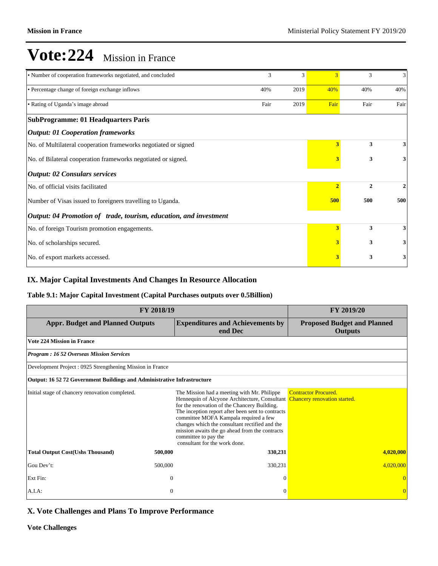| • Number of cooperation frameworks negotiated, and concluded      | 3    | 3    | 3              | 3              | 3            |
|-------------------------------------------------------------------|------|------|----------------|----------------|--------------|
| • Percentage change of foreign exchange inflows                   | 40%  | 2019 | 40%            | 40%            | 40%          |
| • Rating of Uganda's image abroad                                 | Fair | 2019 | Fair           | Fair           | Fair         |
| <b>SubProgramme: 01 Headquarters Paris</b>                        |      |      |                |                |              |
| <b>Output: 01 Cooperation frameworks</b>                          |      |      |                |                |              |
| No. of Multilateral cooperation frameworks negotiated or signed   |      |      | 3              | 3              | 3            |
| No. of Bilateral cooperation frameworks negotiated or signed.     |      |      |                | 3              | $\mathbf{3}$ |
| <b>Output: 02 Consulars services</b>                              |      |      |                |                |              |
| No. of official visits facilitated                                |      |      | $\overline{2}$ | $\overline{2}$ | 2            |
| Number of Visas issued to foreigners travelling to Uganda.        |      |      |                | 500            | 500          |
| Output: 04 Promotion of trade, tourism, education, and investment |      |      |                |                |              |
| No. of foreign Tourism promotion engagements.                     |      |      | 3              | 3              | $\mathbf{3}$ |
| No. of scholarships secured.                                      |      |      | 3              | 3              | $\mathbf{3}$ |
| No. of export markets accessed.                                   |      |      | 3              | 3              | 3            |

## **IX. Major Capital Investments And Changes In Resource Allocation**

## **Table 9.1: Major Capital Investment (Capital Purchases outputs over 0.5Billion)**

| <b>FY 2018/19</b>                                                              | FY 2019/20     |                                                                                                                                                                                                                                                                                                                                                                                                                                      |                                                      |  |  |
|--------------------------------------------------------------------------------|----------------|--------------------------------------------------------------------------------------------------------------------------------------------------------------------------------------------------------------------------------------------------------------------------------------------------------------------------------------------------------------------------------------------------------------------------------------|------------------------------------------------------|--|--|
| <b>Appr. Budget and Planned Outputs</b>                                        |                | <b>Expenditures and Achievements by</b><br>end Dec                                                                                                                                                                                                                                                                                                                                                                                   | <b>Proposed Budget and Planned</b><br><b>Outputs</b> |  |  |
| <b>Vote 224 Mission in France</b>                                              |                |                                                                                                                                                                                                                                                                                                                                                                                                                                      |                                                      |  |  |
| <b>Program : 16 52 Overseas Mission Services</b>                               |                |                                                                                                                                                                                                                                                                                                                                                                                                                                      |                                                      |  |  |
| Development Project : 0925 Strengthening Mission in France                     |                |                                                                                                                                                                                                                                                                                                                                                                                                                                      |                                                      |  |  |
| <b>Output: 16 52 72 Government Buildings and Administrative Infrastructure</b> |                |                                                                                                                                                                                                                                                                                                                                                                                                                                      |                                                      |  |  |
| Initial stage of chancery renovation completed.                                |                | The Mission had a meeting with Mr. Philippe<br>Hennequin of Alcyone Architecture, Consultant Chancery renovation started.<br>for the renovation of the Chancery Building.<br>The inception report after been sent to contracts<br>committee MOFA Kampala required a few<br>changes which the consultant rectified and the<br>mission awaits the go ahead from the contracts<br>committee to pay the<br>consultant for the work done. | <b>Contractor Procured.</b>                          |  |  |
| <b>Total Output Cost(Ushs Thousand)</b>                                        | 500,000        | 330,231                                                                                                                                                                                                                                                                                                                                                                                                                              | 4,020,000                                            |  |  |
| Gou Dev't:                                                                     | 500,000        | 330,231                                                                                                                                                                                                                                                                                                                                                                                                                              | 4,020,000                                            |  |  |
| Ext Fin:                                                                       | $\theta$       | $\Omega$                                                                                                                                                                                                                                                                                                                                                                                                                             |                                                      |  |  |
| A.I.A.                                                                         | $\overline{0}$ | $\Omega$                                                                                                                                                                                                                                                                                                                                                                                                                             |                                                      |  |  |

## **X. Vote Challenges and Plans To Improve Performance**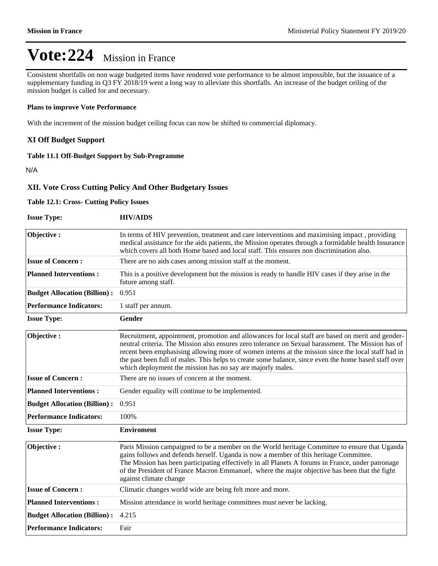Consistent shortfalls on non wage budgeted items have rendered vote performance to be almost impossible, but the issuance of a supplementary funding in Q3 FY 2018/19 went a long way to alleviate this shortfalls. An increase of the budget ceiling of the mission budget is called for and necessary.

#### **Plans to improve Vote Performance**

With the increment of the mission budget ceiling focus can now be shifted to commercial diplomacy.

### **XI Off Budget Support**

### **Table 11.1 Off-Budget Support by Sub-Programme**

N/A

### **XII. Vote Cross Cutting Policy And Other Budgetary Issues**

#### **Table 12.1: Cross- Cutting Policy Issues**

| <b>Issue Type:</b>                  | <b>HIV/AIDS</b>                                                                                                                                                                                                                                                                                                                                                                                                                                                                     |
|-------------------------------------|-------------------------------------------------------------------------------------------------------------------------------------------------------------------------------------------------------------------------------------------------------------------------------------------------------------------------------------------------------------------------------------------------------------------------------------------------------------------------------------|
| Objective:                          | In terms of HIV prevention, treatment and care interventions and maximising impact, providing<br>medical assistance for the aids patients, the Mission operates through a formidable health Insurance<br>which covers all both Home based and local staff. This ensures non discrimination also.                                                                                                                                                                                    |
| <b>Issue of Concern:</b>            | There are no aids cases among mission staff at the moment.                                                                                                                                                                                                                                                                                                                                                                                                                          |
| <b>Planned Interventions:</b>       | This is a positive development but the mission is ready to handle HIV cases if they arise in the<br>future among staff.                                                                                                                                                                                                                                                                                                                                                             |
| <b>Budget Allocation (Billion):</b> | 0.951                                                                                                                                                                                                                                                                                                                                                                                                                                                                               |
| <b>Performance Indicators:</b>      | 1 staff per annum.                                                                                                                                                                                                                                                                                                                                                                                                                                                                  |
| <b>Issue Type:</b>                  | <b>Gender</b>                                                                                                                                                                                                                                                                                                                                                                                                                                                                       |
| Objective:                          | Recruitment, appointment, promotion and allowances for local staff are based on merit and gender-<br>neutral criteria. The Mission also ensures zero tolerance on Sexual harassment. The Mission has of<br>recent been emphasising allowing more of women interns at the mission since the local staff had in<br>the past been full of males. This helps to create some balance, since even the home based staff over<br>which deployment the mission has no say are majorly males. |
| <b>Issue of Concern:</b>            | There are no issues of concern at the moment.                                                                                                                                                                                                                                                                                                                                                                                                                                       |
| <b>Planned Interventions:</b>       | Gender equality will continue to be implemented.                                                                                                                                                                                                                                                                                                                                                                                                                                    |
| <b>Budget Allocation (Billion):</b> | 0.951                                                                                                                                                                                                                                                                                                                                                                                                                                                                               |
| <b>Performance Indicators:</b>      | 100%                                                                                                                                                                                                                                                                                                                                                                                                                                                                                |
| <b>Issue Type:</b>                  | <b>Enviroment</b>                                                                                                                                                                                                                                                                                                                                                                                                                                                                   |
| Objective:                          | Paris Mission campaigned to be a member on the World heritage Committee to ensure that Uganda<br>gains follows and defends herself. Uganda is now a member of this heritage Committee.<br>The Mission has been participating effectively in all Planets A forums in France, under patronage<br>of the President of France Macron Emmanuel, where the major objective has been that the fight<br>against climate change                                                              |
| <b>Issue of Concern:</b>            | Climatic changes world wide are being felt more and more.                                                                                                                                                                                                                                                                                                                                                                                                                           |
| <b>Planned Interventions:</b>       | Mission attendance in world heritage committees must never be lacking.                                                                                                                                                                                                                                                                                                                                                                                                              |
| <b>Budget Allocation (Billion):</b> | 4.215                                                                                                                                                                                                                                                                                                                                                                                                                                                                               |
| <b>Performance Indicators:</b>      | Fair                                                                                                                                                                                                                                                                                                                                                                                                                                                                                |